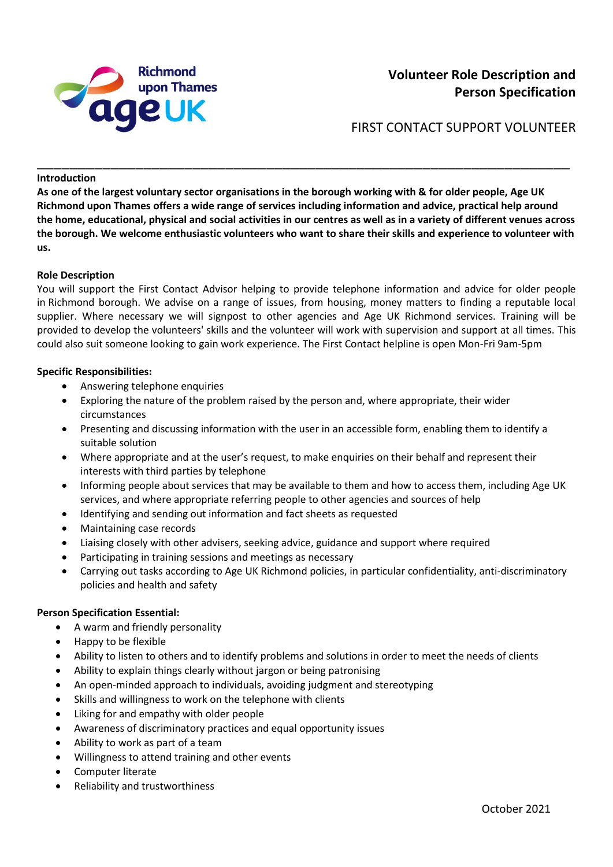

FIRST CONTACT SUPPORT VOLUNTEER

### **Introduction**

**As one of the largest voluntary sector organisations in the borough working with & for older people, Age UK Richmond upon Thames offers a wide range of services including information and advice, practical help around the home, educational, physical and social activities in our centres as well as in a variety of different venues across the borough. We welcome enthusiastic volunteers who want to share their skills and experience to volunteer with us.** 

\_\_\_\_\_\_\_\_\_\_\_\_\_\_\_\_\_\_\_\_\_\_\_\_\_\_\_\_\_\_\_\_\_\_\_\_\_\_\_\_\_\_\_\_\_\_\_\_\_\_\_\_\_\_\_\_\_\_\_\_\_\_\_\_\_

### **Role Description**

You will support the First Contact Advisor helping to provide telephone information and advice for older people in Richmond borough. We advise on a range of issues, from housing, money matters to finding a reputable local supplier. Where necessary we will signpost to other agencies and Age UK Richmond services. Training will be provided to develop the volunteers' skills and the volunteer will work with supervision and support at all times. This could also suit someone looking to gain work experience. The First Contact helpline is open Mon-Fri 9am-5pm

### **Specific Responsibilities:**

- Answering telephone enquiries
- Exploring the nature of the problem raised by the person and, where appropriate, their wider circumstances
- Presenting and discussing information with the user in an accessible form, enabling them to identify a suitable solution
- Where appropriate and at the user's request, to make enquiries on their behalf and represent their interests with third parties by telephone
- Informing people about services that may be available to them and how to access them, including Age UK services, and where appropriate referring people to other agencies and sources of help
- Identifying and sending out information and fact sheets as requested
- Maintaining case records
- Liaising closely with other advisers, seeking advice, guidance and support where required
- Participating in training sessions and meetings as necessary
- Carrying out tasks according to Age UK Richmond policies, in particular confidentiality, anti-discriminatory policies and health and safety

## **Person Specification Essential:**

- A warm and friendly personality
- Happy to be flexible
- Ability to listen to others and to identify problems and solutions in order to meet the needs of clients
- Ability to explain things clearly without jargon or being patronising
- An open-minded approach to individuals, avoiding judgment and stereotyping
- Skills and willingness to work on the telephone with clients
- Liking for and empathy with older people
- Awareness of discriminatory practices and equal opportunity issues
- Ability to work as part of a team
- Willingness to attend training and other events
- Computer literate
- Reliability and trustworthiness